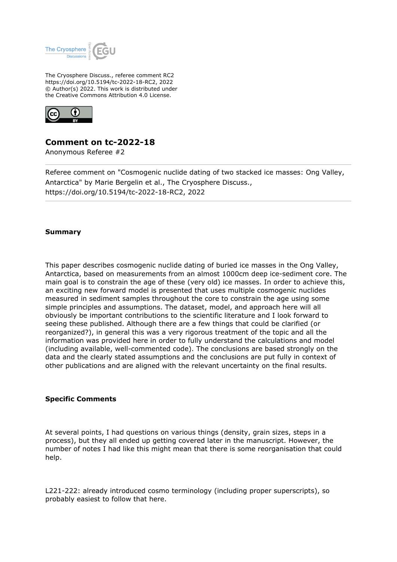

The Cryosphere Discuss., referee comment RC2 https://doi.org/10.5194/tc-2022-18-RC2, 2022 © Author(s) 2022. This work is distributed under the Creative Commons Attribution 4.0 License.



## **Comment on tc-2022-18**

Anonymous Referee #2

Referee comment on "Cosmogenic nuclide dating of two stacked ice masses: Ong Valley, Antarctica" by Marie Bergelin et al., The Cryosphere Discuss., https://doi.org/10.5194/tc-2022-18-RC2, 2022

## **Summary**

This paper describes cosmogenic nuclide dating of buried ice masses in the Ong Valley, Antarctica, based on measurements from an almost 1000cm deep ice-sediment core. The main goal is to constrain the age of these (very old) ice masses. In order to achieve this, an exciting new forward model is presented that uses multiple cosmogenic nuclides measured in sediment samples throughout the core to constrain the age using some simple principles and assumptions. The dataset, model, and approach here will all obviously be important contributions to the scientific literature and I look forward to seeing these published. Although there are a few things that could be clarified (or reorganized?), in general this was a very rigorous treatment of the topic and all the information was provided here in order to fully understand the calculations and model (including available, well-commented code). The conclusions are based strongly on the data and the clearly stated assumptions and the conclusions are put fully in context of other publications and are aligned with the relevant uncertainty on the final results.

## **Specific Comments**

At several points, I had questions on various things (density, grain sizes, steps in a process), but they all ended up getting covered later in the manuscript. However, the number of notes I had like this might mean that there is some reorganisation that could help.

L221-222: already introduced cosmo terminology (including proper superscripts), so probably easiest to follow that here.